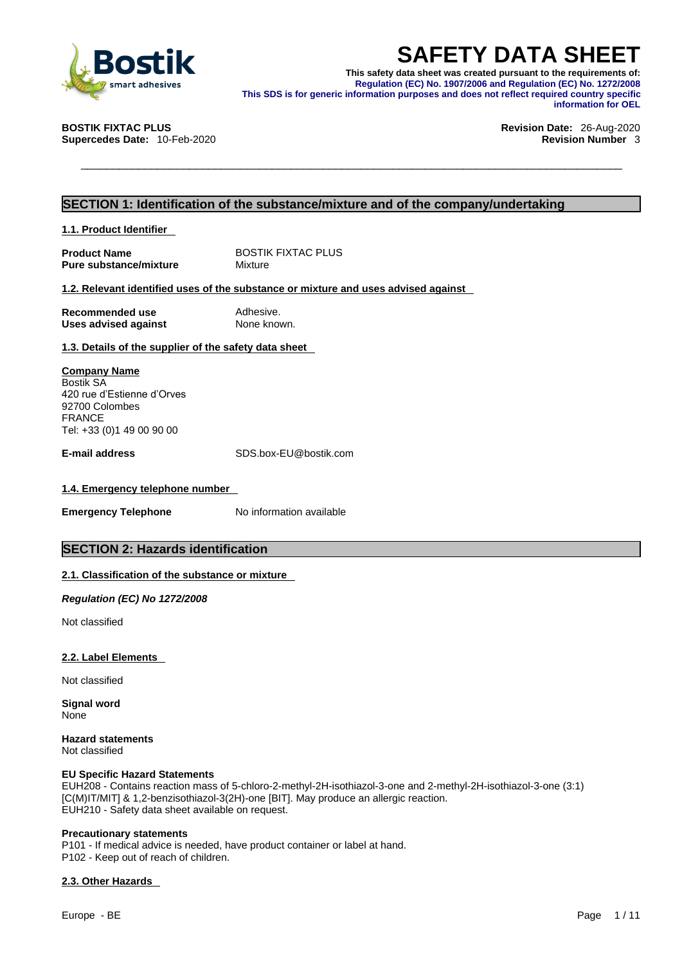

**SAFETY DATA SHEET**<br>
Smart adhesives<br>
smart adhesives<br>
smart adhesives<br>
STIK FIXTAC PLUS<br>
This SDS is for generic information purposes and does not reflect required country specific<br>
information for OEL<br>
Revision Date: 26-**This safety data sheet was created pursuant to the requirements of: Regulation (EC) No. 1907/2006 and Regulation (EC) No. 1272/2008 This SDS is for generic information purposes and does not reflect required country specific information for OEL** 

**Supercedes Date:** 10-Feb-2020 **Revision Number** 3

## **BOSTIK FIXTAC PLUS Revision Date:** 26-Aug-2020

### **SECTION 1: Identification of the substance/mixture and of the company/undertaking**

**1.1. Product Identifier** 

**Product Name** BOSTIK FIXTAC PLUS<br> **Pure substance/mixture** Mixture **Pure substance/mixture** 

### **1.2. Relevant identified uses of the substance or mixture and uses advised against**

| Recommended use             | Adhesive.   |
|-----------------------------|-------------|
| <b>Uses advised against</b> | None known. |

### **1.3. Details of the supplier of the safety data sheet**

**Company Name** Bostik SA 420 rue d'Estienne d'Orves 92700 Colombes FRANCE Tel: +33 (0)1 49 00 90 00

**E-mail address** SDS.box-EU@bostik.com

### **1.4. Emergency telephone number**

**Emergency Telephone** No information available

### **SECTION 2: Hazards identification**

### **2.1. Classification of the substance or mixture**

*Regulation (EC) No 1272/2008* 

Not classified

### **2.2. Label Elements**

Not classified

**Signal word** None

**Hazard statements** Not classified

### **EU Specific Hazard Statements**

EUH208 - Contains reaction mass of 5-chloro-2-methyl-2H-isothiazol-3-one and 2-methyl-2H-isothiazol-3-one (3:1) [C(M)IT/MIT] & 1,2-benzisothiazol-3(2H)-one [BIT]. May produce an allergic reaction. EUH210 - Safety data sheet available on request.

### **Precautionary statements**

P101 - If medical advice is needed, have product container or label at hand. P102 - Keep out of reach of children.

### **2.3. Other Hazards**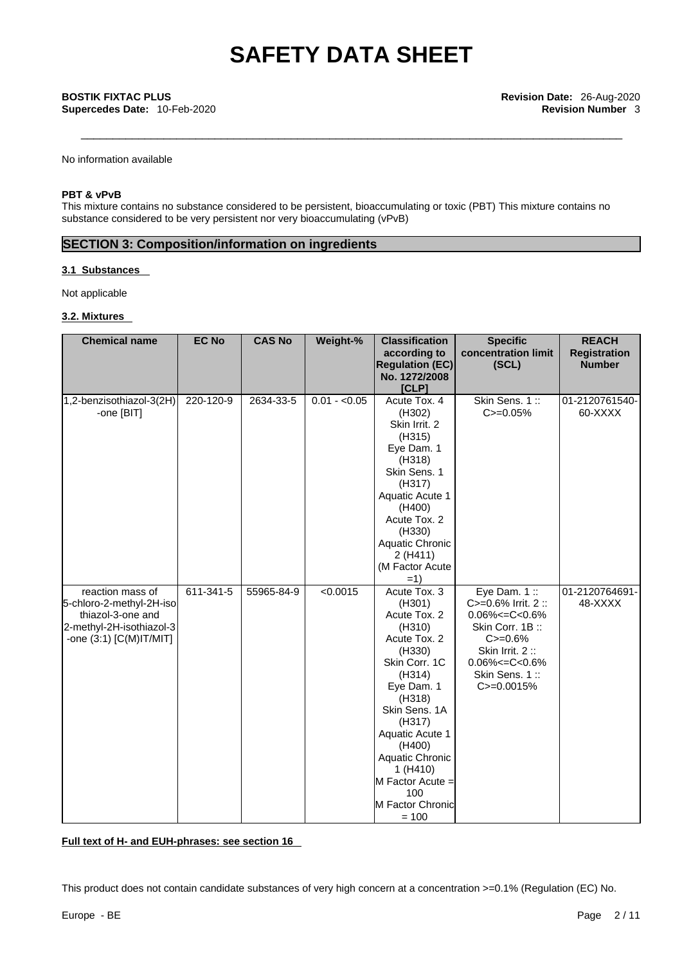**Supercedes Date:** 10-Feb-2020 **Revision Number** 3

No information available

### **PBT & vPvB**

This mixture contains no substance considered to be persistent, bioaccumulating or toxic (PBT) This mixture contains no substance considered to be very persistent nor very bioaccumulating (vPvB)

### **SECTION 3: Composition/information on ingredients**

### **3.1 Substances**

Not applicable

### **3.2. Mixtures**

| <b>Chemical name</b>                                                                                                                | <b>EC No</b> | <b>CAS No</b> | Weight-%      | <b>Classification</b><br>according to<br><b>Regulation (EC)</b><br>No. 1272/2008<br>[CLP]                                                                                                                                                                                      | <b>Specific</b><br>concentration limit<br>(SCL)                                                                                                                                | <b>REACH</b><br><b>Registration</b><br><b>Number</b> |
|-------------------------------------------------------------------------------------------------------------------------------------|--------------|---------------|---------------|--------------------------------------------------------------------------------------------------------------------------------------------------------------------------------------------------------------------------------------------------------------------------------|--------------------------------------------------------------------------------------------------------------------------------------------------------------------------------|------------------------------------------------------|
| 1,2-benzisothiazol-3(2H)<br>-one [BIT]                                                                                              | 220-120-9    | 2634-33-5     | $0.01 - 0.05$ | Acute Tox. 4<br>(H302)<br>Skin Irrit. 2<br>(H315)<br>Eye Dam. 1<br>(H318)<br>Skin Sens. 1<br>(H317)<br>Aquatic Acute 1<br>(H400)<br>Acute Tox. 2<br>(H330)<br>Aquatic Chronic<br>2 (H411)<br>(M Factor Acute<br>$=1)$                                                          | Skin Sens. 1::<br>$C = 0.05%$                                                                                                                                                  | 01-2120761540-<br>60-XXXX                            |
| reaction mass of<br>5-chloro-2-methyl-2H-iso<br>thiazol-3-one and<br>2-methyl-2H-isothiazol-3<br>-one $(3:1)$ $[C(M)$ $T/M$ $T$ $]$ | 611-341-5    | 55965-84-9    | < 0.0015      | Acute Tox. 3<br>(H301)<br>Acute Tox. 2<br>(H310)<br>Acute Tox. 2<br>(H330)<br>Skin Corr. 1C<br>(H314)<br>Eye Dam. 1<br>(H318)<br>Skin Sens. 1A<br>(H317)<br>Aquatic Acute 1<br>(H400)<br>Aquatic Chronic<br>1 (H410)<br>M Factor Acute =<br>100<br>M Factor Chronic<br>$= 100$ | Eye Dam. $1::$<br>C>=0.6% Irrit. 2 ::<br>$0.06\% < = C < 0.6\%$<br>Skin Corr. 1B:<br>$C = 0.6%$<br>Skin Irrit. 2:<br>$0.06\% < = C < 0.6\%$<br>Skin Sens. 1::<br>$C = 0.0015%$ | 01-2120764691-<br>48-XXXX                            |

**Full text of H- and EUH-phrases: see section 16**

This product does not contain candidate substances of very high concern at a concentration >=0.1% (Regulation (EC) No.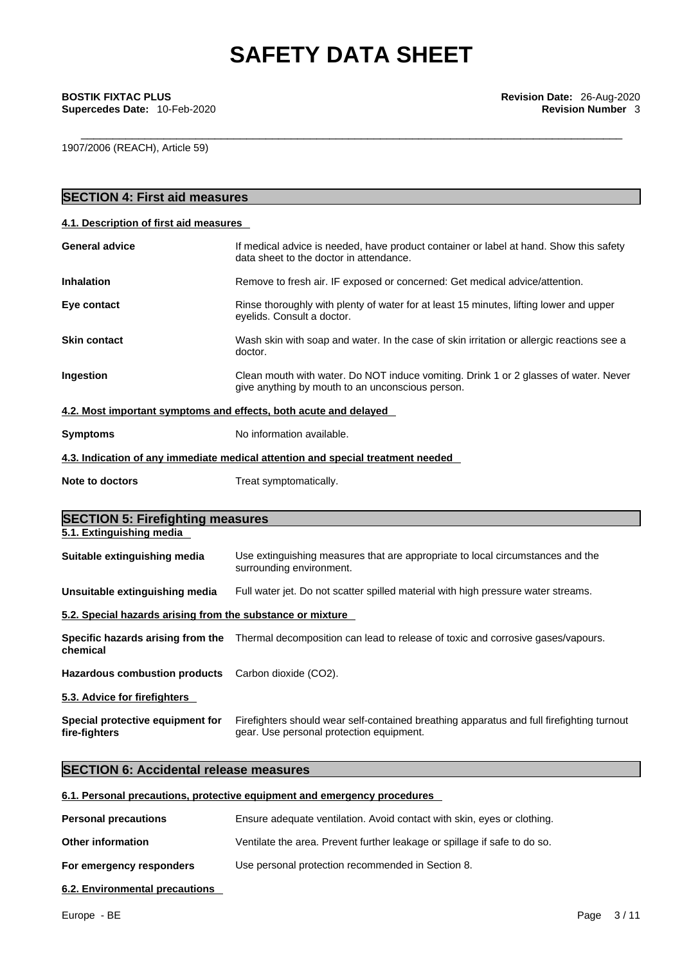1907/2006 (REACH), Article 59)

| <b>SECTION 4: First aid measures</b>                       |                                                                                                                                                     |
|------------------------------------------------------------|-----------------------------------------------------------------------------------------------------------------------------------------------------|
| 4.1. Description of first aid measures                     |                                                                                                                                                     |
| <b>General advice</b>                                      | If medical advice is needed, have product container or label at hand. Show this safety<br>data sheet to the doctor in attendance.                   |
| <b>Inhalation</b>                                          | Remove to fresh air. IF exposed or concerned: Get medical advice/attention.                                                                         |
| Eye contact                                                | Rinse thoroughly with plenty of water for at least 15 minutes, lifting lower and upper<br>eyelids. Consult a doctor.                                |
| <b>Skin contact</b>                                        | Wash skin with soap and water. In the case of skin irritation or allergic reactions see a<br>doctor.                                                |
| Ingestion                                                  | Clean mouth with water. Do NOT induce vomiting. Drink 1 or 2 glasses of water. Never<br>give anything by mouth to an unconscious person.            |
|                                                            | 4.2. Most important symptoms and effects, both acute and delayed                                                                                    |
| <b>Symptoms</b>                                            | No information available.                                                                                                                           |
|                                                            | 4.3. Indication of any immediate medical attention and special treatment needed                                                                     |
| <b>Note to doctors</b>                                     | Treat symptomatically.                                                                                                                              |
| <b>SECTION 5: Firefighting measures</b>                    |                                                                                                                                                     |
|                                                            |                                                                                                                                                     |
| 5.1. Extinguishing media<br>Suitable extinguishing media   | Use extinguishing measures that are appropriate to local circumstances and the<br>surrounding environment.                                          |
| Unsuitable extinguishing media                             | Full water jet. Do not scatter spilled material with high pressure water streams.                                                                   |
| 5.2. Special hazards arising from the substance or mixture |                                                                                                                                                     |
| chemical                                                   | Specific hazards arising from the Thermal decomposition can lead to release of toxic and corrosive gases/vapours.                                   |
| <b>Hazardous combustion products</b>                       | Carbon dioxide (CO2).                                                                                                                               |
| 5.3. Advice for firefighters                               |                                                                                                                                                     |
| Special protective equipment for<br>fire-fighters          | Firefighters should wear self-contained breathing apparatus and full firefighting turnout<br>gear. Use personal protection equipment.               |
| <b>SECTION 6: Accidental release measures</b>              |                                                                                                                                                     |
|                                                            |                                                                                                                                                     |
| <b>Personal precautions</b>                                | 6.1. Personal precautions, protective equipment and emergency procedures<br>Ensure adequate ventilation. Avoid contact with skin, eyes or clothing. |

**For emergency responders** Use personal protection recommended in Section 8.

**6.2. Environmental precautions**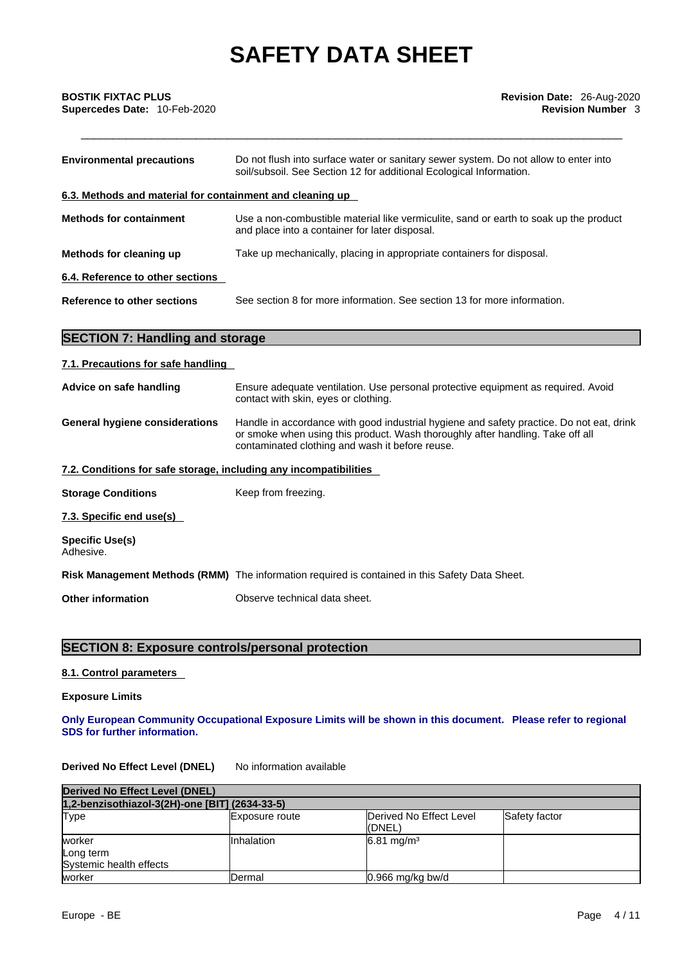| <b>Environmental precautions</b>                          | Do not flush into surface water or sanitary sewer system. Do not allow to enter into<br>soil/subsoil. See Section 12 for additional Ecological Information. |
|-----------------------------------------------------------|-------------------------------------------------------------------------------------------------------------------------------------------------------------|
| 6.3. Methods and material for containment and cleaning up |                                                                                                                                                             |
| <b>Methods for containment</b>                            | Use a non-combustible material like vermiculite, sand or earth to soak up the product<br>and place into a container for later disposal.                     |
| Methods for cleaning up                                   | Take up mechanically, placing in appropriate containers for disposal.                                                                                       |
| 6.4. Reference to other sections                          |                                                                                                                                                             |
| Reference to other sections                               | See section 8 for more information. See section 13 for more information.                                                                                    |

### **SECTION 7: Handling and storage**

| 7.1. Precautions for safe handling |  |  |
|------------------------------------|--|--|
|                                    |  |  |

| Advice on safe handling                                           | Ensure adequate ventilation. Use personal protective equipment as required. Avoid<br>contact with skin, eyes or clothing.                                                                                                     |
|-------------------------------------------------------------------|-------------------------------------------------------------------------------------------------------------------------------------------------------------------------------------------------------------------------------|
| <b>General hygiene considerations</b>                             | Handle in accordance with good industrial hygiene and safety practice. Do not eat, drink<br>or smoke when using this product. Wash thoroughly after handling. Take off all<br>contaminated clothing and wash it before reuse. |
| 7.2. Conditions for safe storage, including any incompatibilities |                                                                                                                                                                                                                               |
| <b>Storage Conditions</b>                                         | Keep from freezing.                                                                                                                                                                                                           |
| 7.3. Specific end use(s)                                          |                                                                                                                                                                                                                               |
| <b>Specific Use(s)</b><br>Adhesive.                               |                                                                                                                                                                                                                               |
|                                                                   | Risk Management Methods (RMM) The information required is contained in this Safety Data Sheet.                                                                                                                                |
| <b>Other information</b>                                          | Observe technical data sheet.                                                                                                                                                                                                 |

### **SECTION 8: Exposure controls/personal protection**

### **8.1. Control parameters**

**Exposure Limits**

**Only European Community Occupational Exposure Limits will be shown in this document. Please refer to regional SDS for further information.** 

**Derived No Effect Level (DNEL)** No information available

| Derived No Effect Level (DNEL)                 |                |                                   |               |  |
|------------------------------------------------|----------------|-----------------------------------|---------------|--|
| 1,2-benzisothiazol-3(2H)-one [BIT] (2634-33-5) |                |                                   |               |  |
| <b>Type</b>                                    | Exposure route | Derived No Effect Level<br>(DNEL) | Safety factor |  |
| worker<br>Long term<br>Systemic health effects | IInhalation    | $6.81 \text{ mg/m}^3$             |               |  |
| worker                                         | Dermal         | $0.966$ mg/kg bw/d                |               |  |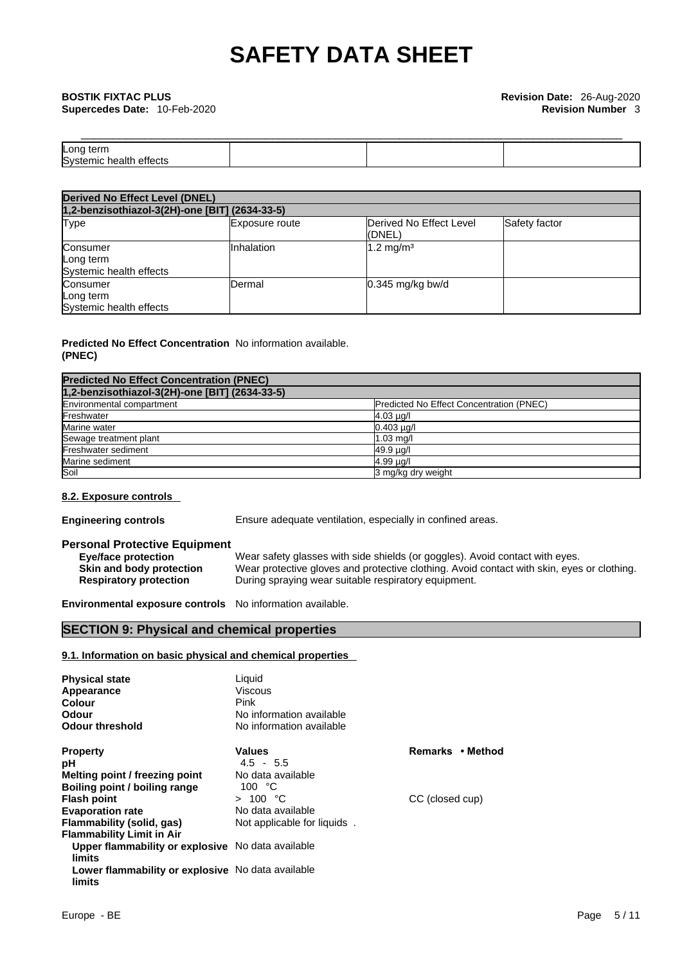## \_\_\_\_\_\_\_\_\_\_\_\_\_\_\_\_\_\_\_\_\_\_\_\_\_\_\_\_\_\_\_\_\_\_\_\_\_\_\_\_\_\_\_\_\_\_\_\_\_\_\_\_\_\_\_\_\_\_\_\_\_\_\_\_\_\_\_\_\_\_\_\_\_\_\_\_\_\_\_\_\_\_\_\_\_ **BOSTIK FIXTAC PLUS Revision Date:** 26-Aug-2020 **Supercedes Date:** 10-Feb-2020 **Revision Number** 3

| _______             |  |  |
|---------------------|--|--|
| <b>Long</b><br>term |  |  |
| m.<br>``<br>        |  |  |

| <b>Derived No Effect Level (DNEL)</b>            |                                                |                                    |               |  |  |
|--------------------------------------------------|------------------------------------------------|------------------------------------|---------------|--|--|
|                                                  | 1,2-benzisothiazol-3(2H)-one [BIT] (2634-33-5) |                                    |               |  |  |
| Type                                             | Exposure route                                 | Derived No Effect Level<br>((DNEL) | Safety factor |  |  |
| Consumer<br>Long term<br>Systemic health effects | Inhalation                                     | $1.2 \text{ mg/m}^3$               |               |  |  |
| Consumer<br>Long term<br>Systemic health effects | Dermal                                         | $0.345$ mg/kg bw/d                 |               |  |  |

### **Predicted No Effect Concentration** No information available. **(PNEC)**

| <b>Predicted No Effect Concentration (PNEC)</b> |                                          |
|-------------------------------------------------|------------------------------------------|
| 1,2-benzisothiazol-3(2H)-one [BIT] (2634-33-5)  |                                          |
| Environmental compartment                       | Predicted No Effect Concentration (PNEC) |
| Freshwater                                      | $4.03 \mu g/l$                           |
| Marine water                                    | $0.403 \mu q/l$                          |
| Sewage treatment plant                          | $1.03$ mg/                               |
| <b>Freshwater sediment</b>                      | 49.9 ug/l                                |
| Marine sediment                                 | 4.99 µg/l                                |
| Soil                                            | 3 mg/kg dry weight                       |

### **8.2. Exposure controls**

**Engineering controls** Ensure adequate ventilation, especially in confined areas.

### **Personal Protective Equipment**

| <b>Eye/face protection</b>    | Wear safety glasses with side shields (or goggles). Avoid contact with eyes.               |
|-------------------------------|--------------------------------------------------------------------------------------------|
| Skin and body protection      | Wear protective gloves and protective clothing. Avoid contact with skin, eyes or clothing. |
| <b>Respiratory protection</b> | During spraying wear suitable respiratory equipment.                                       |

**Environmental exposure controls** No information available.

### **SECTION 9: Physical and chemical properties**

### **9.1. Information on basic physical and chemical properties**

| <b>Physical state</b><br>Appearance<br>Colour<br>Odour<br><b>Odour threshold</b> | Liquid<br>Viscous<br>Pink<br>No information available<br>No information available |                  |  |
|----------------------------------------------------------------------------------|-----------------------------------------------------------------------------------|------------------|--|
| <b>Property</b>                                                                  | Values                                                                            | Remarks • Method |  |
| рH                                                                               | $4.5 - 5.5$                                                                       |                  |  |
| Melting point / freezing point                                                   | No data available                                                                 |                  |  |
| Boiling point / boiling range                                                    | 100 $\degree$ C                                                                   |                  |  |
| <b>Flash point</b>                                                               | > 100 °C                                                                          | CC (closed cup)  |  |
| <b>Evaporation rate</b>                                                          | No data available                                                                 |                  |  |
| Flammability (solid, gas)                                                        | Not applicable for liquids.                                                       |                  |  |
| <b>Flammability Limit in Air</b>                                                 |                                                                                   |                  |  |
| Upper flammability or explosive No data available<br>limits                      |                                                                                   |                  |  |
| Lower flammability or explosive No data available<br>limits                      |                                                                                   |                  |  |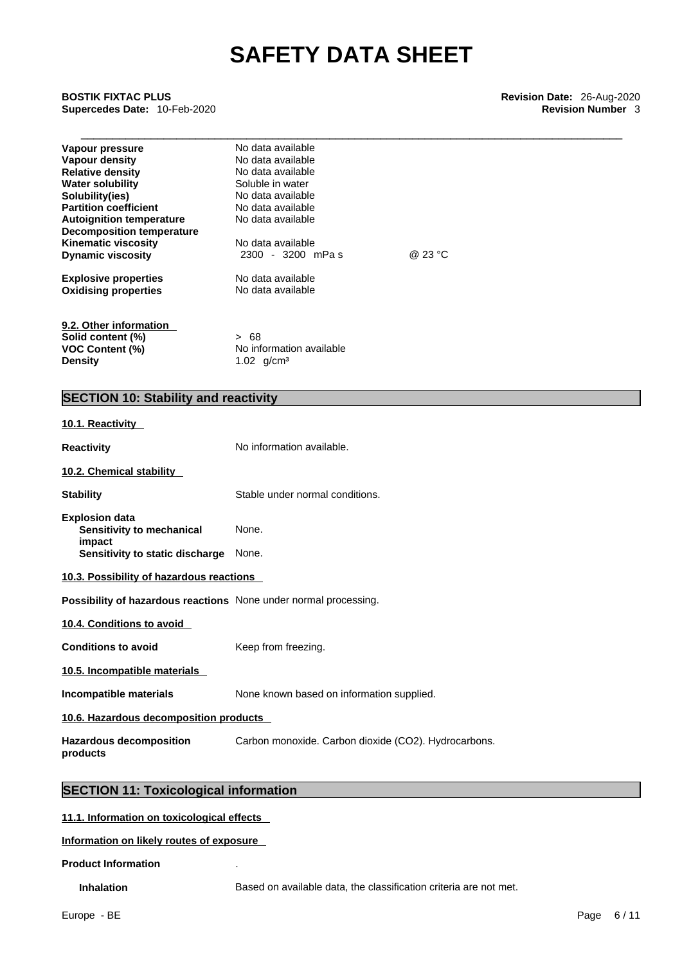\_\_\_\_\_\_\_\_\_\_\_\_\_\_\_\_\_\_\_\_\_\_\_\_\_\_\_\_\_\_\_\_\_\_\_\_\_\_\_\_\_\_\_\_\_\_\_\_\_\_\_\_\_\_\_\_\_\_\_\_\_\_\_\_\_\_\_\_\_\_\_\_\_\_\_\_\_\_\_\_\_\_\_\_\_ **BOSTIK FIXTAC PLUS Revision Date:** 26-Aug-2020 **Supercedes Date:** 10-Feb-2020 **Revision Number** 3

| Vapour pressure                  | No data available        |         |  |
|----------------------------------|--------------------------|---------|--|
| Vapour density                   | No data available        |         |  |
| <b>Relative density</b>          | No data available        |         |  |
| <b>Water solubility</b>          | Soluble in water         |         |  |
| Solubility(ies)                  | No data available        |         |  |
| <b>Partition coefficient</b>     | No data available        |         |  |
| <b>Autoignition temperature</b>  | No data available        |         |  |
| <b>Decomposition temperature</b> |                          |         |  |
| <b>Kinematic viscosity</b>       | No data available        |         |  |
| <b>Dynamic viscosity</b>         | 2300 - 3200 mPas         | @ 23 °C |  |
| <b>Explosive properties</b>      | No data available        |         |  |
| <b>Oxidising properties</b>      | No data available        |         |  |
| 9.2. Other information           |                          |         |  |
| Solid content (%)                | > 68                     |         |  |
| <b>VOC Content (%)</b>           | No information available |         |  |
| <b>Density</b>                   | 1.02 $q/cm^3$            |         |  |

### **SECTION 10: Stability and reactivity**

### **10.1. Reactivity**

| <b>Reactivity</b>                                                       | No information available.                            |  |
|-------------------------------------------------------------------------|------------------------------------------------------|--|
| 10.2. Chemical stability                                                |                                                      |  |
| <b>Stability</b>                                                        | Stable under normal conditions.                      |  |
| <b>Explosion data</b><br>Sensitivity to mechanical<br>impact            | None.                                                |  |
| Sensitivity to static discharge                                         | None.                                                |  |
| 10.3. Possibility of hazardous reactions                                |                                                      |  |
| <b>Possibility of hazardous reactions</b> None under normal processing. |                                                      |  |
| 10.4. Conditions to avoid                                               |                                                      |  |
| <b>Conditions to avoid</b>                                              | Keep from freezing.                                  |  |
| 10.5. Incompatible materials                                            |                                                      |  |
| Incompatible materials                                                  | None known based on information supplied.            |  |
| 10.6. Hazardous decomposition products                                  |                                                      |  |
| <b>Hazardous decomposition</b><br>products                              | Carbon monoxide. Carbon dioxide (CO2). Hydrocarbons. |  |
|                                                                         |                                                      |  |

### **SECTION 11: Toxicological information**

**11.1. Information on toxicological effects**

### **Information on likely routes of exposure**

**Product Information** .

**Inhalation** Based on available data, the classification criteria are not met.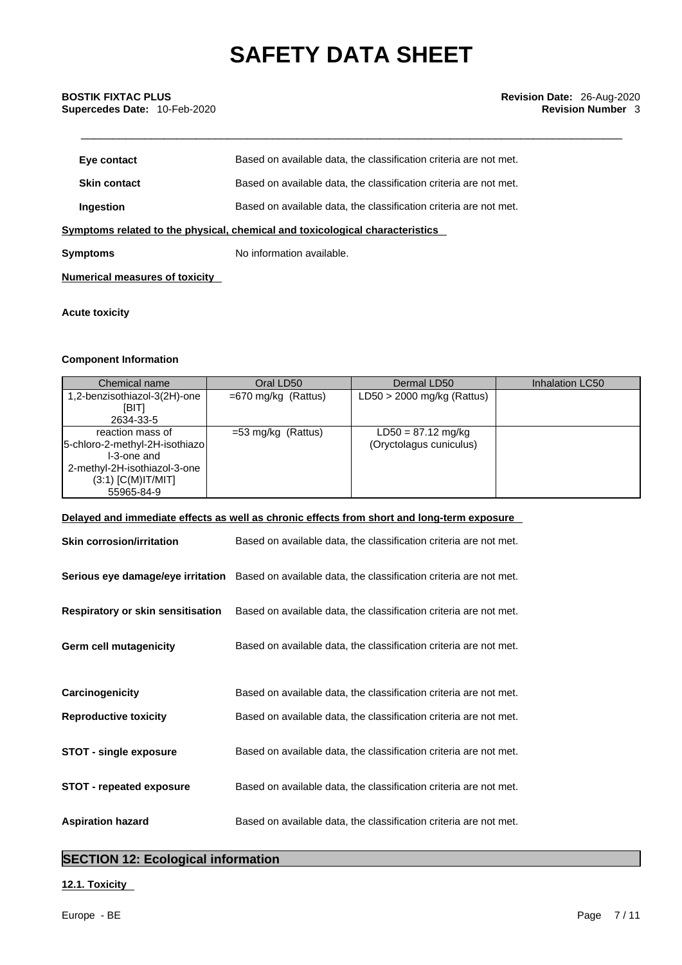| Eye contact                                                                  | Based on available data, the classification criteria are not met. |  |
|------------------------------------------------------------------------------|-------------------------------------------------------------------|--|
| <b>Skin contact</b>                                                          | Based on available data, the classification criteria are not met. |  |
| Ingestion                                                                    | Based on available data, the classification criteria are not met. |  |
| Symptoms related to the physical, chemical and toxicological characteristics |                                                                   |  |
| <b>Symptoms</b>                                                              | No information available.                                         |  |
| <b>Numerical measures of toxicity</b>                                        |                                                                   |  |

### **Acute toxicity**

### **Component Information**

| Chemical name                  | Oral LD50             | Dermal LD50                  | Inhalation LC50 |
|--------------------------------|-----------------------|------------------------------|-----------------|
| 1,2-benzisothiazol-3(2H)-one   | $=670$ mg/kg (Rattus) | $LD50 > 2000$ mg/kg (Rattus) |                 |
| [BIT]                          |                       |                              |                 |
| 2634-33-5                      |                       |                              |                 |
| reaction mass of               | $=53$ mg/kg (Rattus)  | $LD50 = 87.12$ mg/kg         |                 |
| 5-chloro-2-methyl-2H-isothiazo |                       | (Oryctolagus cuniculus)      |                 |
| I-3-one and                    |                       |                              |                 |
| 2-methyl-2H-isothiazol-3-one   |                       |                              |                 |
| $(3:1)$ [C(M)IT/MIT]           |                       |                              |                 |
| 55965-84-9                     |                       |                              |                 |

### **Delayed and immediate effects as well as chronic effects from short and long-term exposure**

| <b>Skin corrosion/irritation</b>         | Based on available data, the classification criteria are not met.                                   |
|------------------------------------------|-----------------------------------------------------------------------------------------------------|
|                                          | Serious eye damage/eye irritation Based on available data, the classification criteria are not met. |
| <b>Respiratory or skin sensitisation</b> | Based on available data, the classification criteria are not met.                                   |
| Germ cell mutagenicity                   | Based on available data, the classification criteria are not met.                                   |
|                                          |                                                                                                     |
| Carcinogenicity                          | Based on available data, the classification criteria are not met.                                   |
| <b>Reproductive toxicity</b>             | Based on available data, the classification criteria are not met.                                   |
| STOT - single exposure                   | Based on available data, the classification criteria are not met.                                   |
| <b>STOT - repeated exposure</b>          | Based on available data, the classification criteria are not met.                                   |
| <b>Aspiration hazard</b>                 | Based on available data, the classification criteria are not met.                                   |

### **SECTION 12: Ecological information**

### **12.1. Toxicity**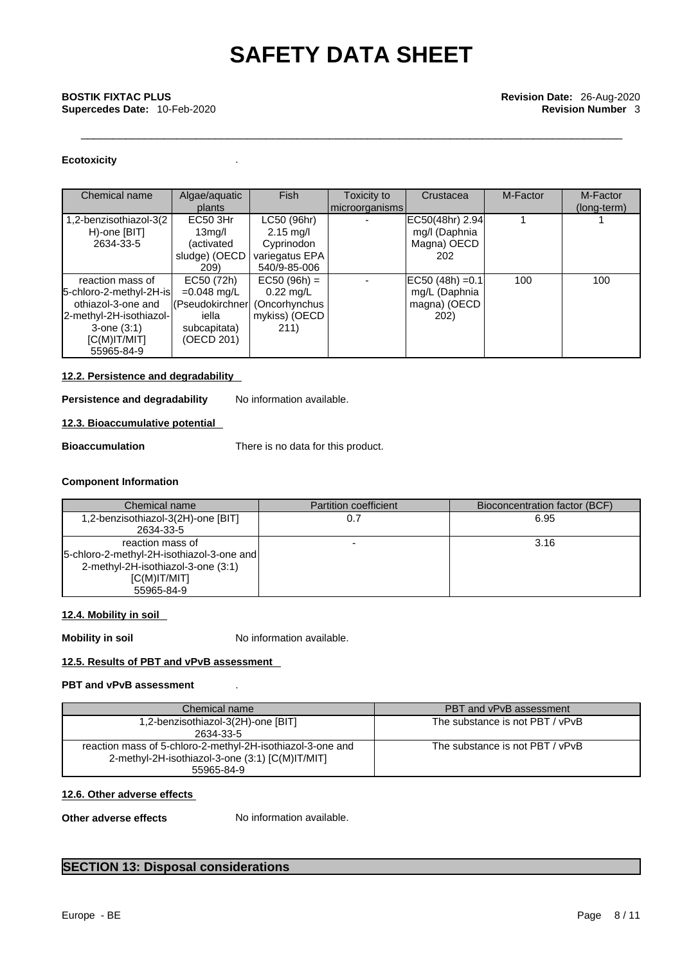## \_\_\_\_\_\_\_\_\_\_\_\_\_\_\_\_\_\_\_\_\_\_\_\_\_\_\_\_\_\_\_\_\_\_\_\_\_\_\_\_\_\_\_\_\_\_\_\_\_\_\_\_\_\_\_\_\_\_\_\_\_\_\_\_\_\_\_\_\_\_\_\_\_\_\_\_\_\_\_\_\_\_\_\_\_ **BOSTIK FIXTAC PLUS Revision Date:** 26-Aug-2020 **Supercedes Date:** 10-Feb-2020 **Revision Number 3**

### **Ecotoxicity** .

| Chemical name           | Algae/aquatic                   | <b>Fish</b>         | Toxicity to    | Crustacea            | M-Factor | M-Factor    |
|-------------------------|---------------------------------|---------------------|----------------|----------------------|----------|-------------|
|                         | plants                          |                     | microorganisms |                      |          | (long-term) |
| 1,2-benzisothiazol-3(2  | EC50 3Hr                        | LC50 (96hr)         |                | EC50(48hr) 2.94      |          |             |
| H)-one [BIT]            | 13mg/l                          | $2.15 \text{ mg/l}$ |                | mg/I (Daphnia        |          |             |
| 2634-33-5               | (activated                      | Cyprinodon          |                | Magna) OECD          |          |             |
|                         | sludge) (OECD                   | variegatus EPA      |                | 202                  |          |             |
|                         | 209)                            | 540/9-85-006        |                |                      |          |             |
| reaction mass of        | EC50 (72h)                      | $EC50 (96h) =$      |                | $ EC50 (48h) = 0.1 $ | 100      | 100         |
| 5-chloro-2-methyl-2H-is | $=0.048$ mg/L                   | $0.22$ mg/L         |                | mg/L (Daphnia        |          |             |
| othiazol-3-one and      | (Pseudokirchner   (Oncorhynchus |                     |                | magna) (OECD         |          |             |
| 2-methyl-2H-isothiazol- | iella                           | mykiss) (OECD       |                | 202)                 |          |             |
| $3$ -one $(3:1)$        | subcapitata)                    | 211)                |                |                      |          |             |
| IC(M)IT/MIT             | (OECD 201)                      |                     |                |                      |          |             |
| 55965-84-9              |                                 |                     |                |                      |          |             |

### **12.2. Persistence and degradability**

**Persistence and degradability** No information available.

### **12.3. Bioaccumulative potential**

**Bioaccumulation** There is no data for this product.

### **Component Information**

| Chemical name                                                                                                                      | <b>Partition coefficient</b> | Bioconcentration factor (BCF) |
|------------------------------------------------------------------------------------------------------------------------------------|------------------------------|-------------------------------|
| 1,2-benzisothiazol-3(2H)-one [BIT]<br>2634-33-5                                                                                    |                              | 6.95                          |
| reaction mass of<br>[5-chloro-2-methyl-2H-isothiazol-3-one and]<br>2-methyl-2H-isothiazol-3-one (3:1)<br>IC(M)IT/MIT<br>55965-84-9 |                              | 3.16                          |

### **12.4. Mobility in soil**

**Mobility in soil** No information available.

### **12.5. Results of PBT and vPvB assessment**

### **PBT and vPvB assessment** .

| Chemical name                                              | PBT and vPvB assessment         |
|------------------------------------------------------------|---------------------------------|
| 1,2-benzisothiazol-3(2H)-one [BIT]                         | The substance is not PBT / vPvB |
| 2634-33-5                                                  |                                 |
| reaction mass of 5-chloro-2-methyl-2H-isothiazol-3-one and | The substance is not PBT / vPvB |
| 2-methyl-2H-isothiazol-3-one (3:1) [C(M)IT/MIT]            |                                 |
| 55965-84-9                                                 |                                 |

### **12.6. Other adverse effects**

**Other adverse effects** No information available.

### **SECTION 13: Disposal considerations**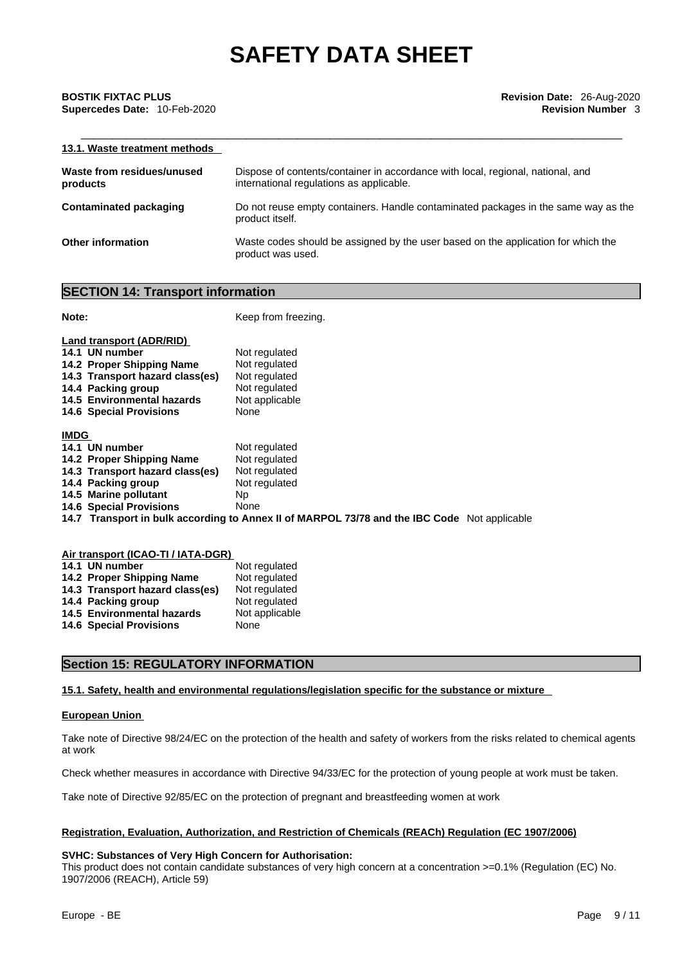| 13.1. Waste treatment methods          |                                                                                                                             |
|----------------------------------------|-----------------------------------------------------------------------------------------------------------------------------|
| Waste from residues/unused<br>products | Dispose of contents/container in accordance with local, regional, national, and<br>international regulations as applicable. |
| <b>Contaminated packaging</b>          | Do not reuse empty containers. Handle contaminated packages in the same way as the<br>product itself.                       |
| Other information                      | Waste codes should be assigned by the user based on the application for which the<br>product was used.                      |

### **SECTION 14: Transport information**

| Note:                                                                                                                                                                                            | Keep from freezing.                                                                                                                                                             |
|--------------------------------------------------------------------------------------------------------------------------------------------------------------------------------------------------|---------------------------------------------------------------------------------------------------------------------------------------------------------------------------------|
| Land transport (ADR/RID)<br>14.1 UN number<br>14.2 Proper Shipping Name<br>14.3 Transport hazard class(es)<br>14.4 Packing group<br>14.5 Environmental hazards<br><b>14.6 Special Provisions</b> | Not regulated<br>Not regulated<br>Not regulated<br>Not regulated<br>Not applicable<br>None                                                                                      |
| <b>IMDG</b><br>14.1 UN number<br>14.2 Proper Shipping Name<br>14.3 Transport hazard class(es)<br>14.4 Packing group<br>14.5 Marine pollutant<br><b>14.6 Special Provisions</b>                   | Not regulated<br>Not regulated<br>Not regulated<br>Not regulated<br>Np.<br>None<br>14.7 Transport in bulk according to Annex II of MARPOL 73/78 and the IBC Code Not applicable |

| Air transport (ICAO-TI / IATA-DGR) |                |  |  |
|------------------------------------|----------------|--|--|
| 14.1 UN number                     | Not regulated  |  |  |
| 14.2 Proper Shipping Name          | Not regulated  |  |  |
| 14.3 Transport hazard class(es)    | Not regulated  |  |  |
| 14.4 Packing group                 | Not regulated  |  |  |
| 14.5 Environmental hazards         | Not applicable |  |  |
| <b>14.6 Special Provisions</b>     | None           |  |  |

### **Section 15: REGULATORY INFORMATION**

### **15.1. Safety, health and environmental regulations/legislation specific for the substance or mixture**

### **European Union**

Take note of Directive 98/24/EC on the protection of the health and safety of workers from the risks related to chemical agents at work

Check whether measures in accordance with Directive 94/33/EC for the protection of young people at work must be taken.

Take note of Directive 92/85/EC on the protection of pregnant and breastfeeding women at work

### **Registration, Evaluation, Authorization, and Restriction of Chemicals (REACh) Regulation (EC 1907/2006)**

### **SVHC: Substances of Very High Concern for Authorisation:**

This product does not contain candidate substances of very high concern at a concentration >=0.1% (Regulation (EC) No. 1907/2006 (REACH), Article 59)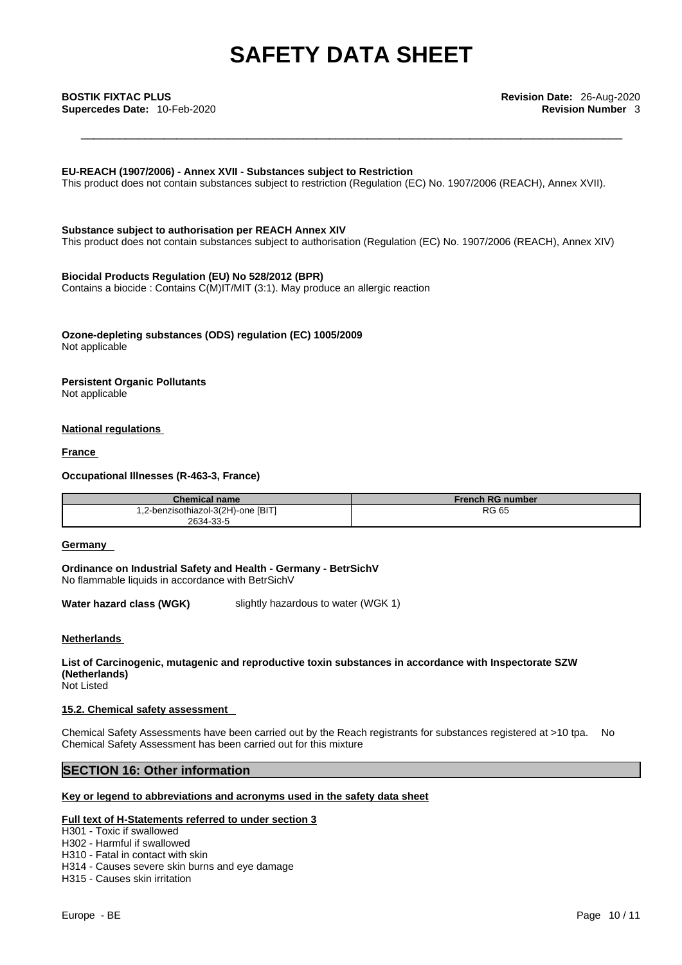### **EU-REACH (1907/2006) - Annex XVII - Substances subject to Restriction**

This product does not contain substances subject to restriction (Regulation (EC) No. 1907/2006 (REACH), Annex XVII).

**Substance subject to authorisation per REACH Annex XIV** This product does not contain substances subject to authorisation (Regulation (EC) No. 1907/2006 (REACH), Annex XIV)

### **Biocidal Products Regulation (EU) No 528/2012 (BPR)**

Contains a biocide : Contains C(M)IT/MIT (3:1). May produce an allergic reaction

**Ozone-depleting substances (ODS) regulation (EC) 1005/2009** Not applicable

#### **Persistent Organic Pollutants** Not applicable

### **National regulations**

**France** 

**Occupational Illnesses (R-463-3, France)**

| Chemical name                      | <b>French RG number</b> |
|------------------------------------|-------------------------|
| 1,2-benzisothiazol-3(2H)-one [BIT] | RG 65                   |
| 2634-33-5                          |                         |

### **Germany**

**Ordinance on Industrial Safety and Health - Germany - BetrSichV** No flammable liquids in accordance with BetrSichV

**Water hazard class (WGK)** slightly hazardous to water (WGK 1)

### **Netherlands**

**List of Carcinogenic, mutagenic and reproductive toxin substances in accordance with Inspectorate SZW (Netherlands)**

Not Listed

### **15.2. Chemical safety assessment**

Chemical Safety Assessments have been carried out by the Reach registrants for substances registered at >10 tpa. No Chemical Safety Assessment has been carried out for this mixture

### **SECTION 16: Other information**

### **Key or legend to abbreviations and acronyms used in the safety data sheet**

### **Full text of H-Statements referred to under section 3**

H301 - Toxic if swallowed

- H302 Harmful if swallowed
- H310 Fatal in contact with skin
- H314 Causes severe skin burns and eye damage
- H315 Causes skin irritation